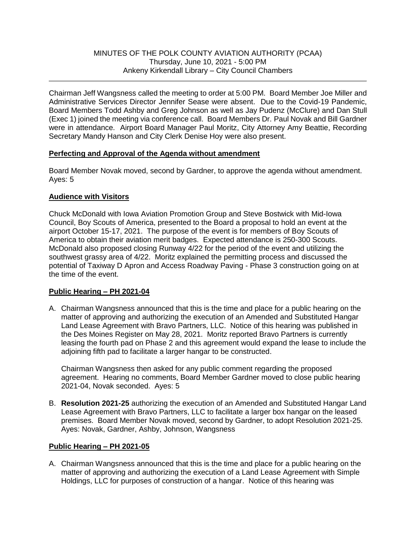Chairman Jeff Wangsness called the meeting to order at 5:00 PM. Board Member Joe Miller and Administrative Services Director Jennifer Sease were absent. Due to the Covid-19 Pandemic, Board Members Todd Ashby and Greg Johnson as well as Jay Pudenz (McClure) and Dan Stull (Exec 1) joined the meeting via conference call. Board Members Dr. Paul Novak and Bill Gardner were in attendance. Airport Board Manager Paul Moritz, City Attorney Amy Beattie, Recording Secretary Mandy Hanson and City Clerk Denise Hoy were also present.

## **Perfecting and Approval of the Agenda without amendment**

Board Member Novak moved, second by Gardner, to approve the agenda without amendment. Ayes: 5

## **Audience with Visitors**

Chuck McDonald with Iowa Aviation Promotion Group and Steve Bostwick with Mid-Iowa Council, Boy Scouts of America, presented to the Board a proposal to hold an event at the airport October 15-17, 2021. The purpose of the event is for members of Boy Scouts of America to obtain their aviation merit badges. Expected attendance is 250-300 Scouts. McDonald also proposed closing Runway 4/22 for the period of the event and utilizing the southwest grassy area of 4/22. Moritz explained the permitting process and discussed the potential of Taxiway D Apron and Access Roadway Paving - Phase 3 construction going on at the time of the event.

# **Public Hearing – PH 2021-04**

A. Chairman Wangsness announced that this is the time and place for a public hearing on the matter of approving and authorizing the execution of an Amended and Substituted Hangar Land Lease Agreement with Bravo Partners, LLC. Notice of this hearing was published in the Des Moines Register on May 28, 2021. Moritz reported Bravo Partners is currently leasing the fourth pad on Phase 2 and this agreement would expand the lease to include the adjoining fifth pad to facilitate a larger hangar to be constructed.

Chairman Wangsness then asked for any public comment regarding the proposed agreement. Hearing no comments, Board Member Gardner moved to close public hearing 2021-04, Novak seconded. Ayes: 5

B. **Resolution 2021-25** authorizing the execution of an Amended and Substituted Hangar Land Lease Agreement with Bravo Partners, LLC to facilitate a larger box hangar on the leased premises. Board Member Novak moved, second by Gardner, to adopt Resolution 2021-25. Ayes: Novak, Gardner, Ashby, Johnson, Wangsness

# **Public Hearing – PH 2021-05**

A. Chairman Wangsness announced that this is the time and place for a public hearing on the matter of approving and authorizing the execution of a Land Lease Agreement with Simple Holdings, LLC for purposes of construction of a hangar. Notice of this hearing was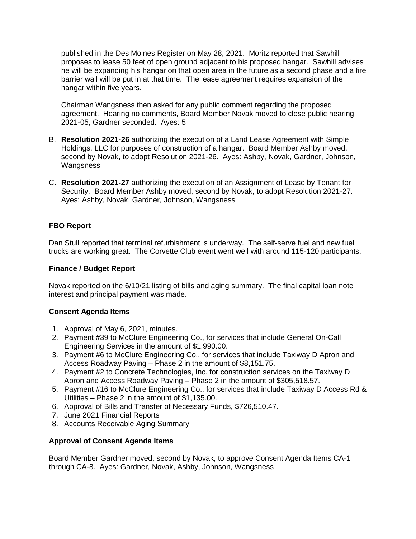published in the Des Moines Register on May 28, 2021. Moritz reported that Sawhill proposes to lease 50 feet of open ground adjacent to his proposed hangar. Sawhill advises he will be expanding his hangar on that open area in the future as a second phase and a fire barrier wall will be put in at that time. The lease agreement requires expansion of the hangar within five years.

Chairman Wangsness then asked for any public comment regarding the proposed agreement. Hearing no comments, Board Member Novak moved to close public hearing 2021-05, Gardner seconded. Ayes: 5

- B. **Resolution 2021-26** authorizing the execution of a Land Lease Agreement with Simple Holdings, LLC for purposes of construction of a hangar. Board Member Ashby moved, second by Novak, to adopt Resolution 2021-26. Ayes: Ashby, Novak, Gardner, Johnson, Wangsness
- C. **Resolution 2021-27** authorizing the execution of an Assignment of Lease by Tenant for Security. Board Member Ashby moved, second by Novak, to adopt Resolution 2021-27. Ayes: Ashby, Novak, Gardner, Johnson, Wangsness

## **FBO Report**

Dan Stull reported that terminal refurbishment is underway. The self-serve fuel and new fuel trucks are working great. The Corvette Club event went well with around 115-120 participants.

### **Finance / Budget Report**

Novak reported on the 6/10/21 listing of bills and aging summary. The final capital loan note interest and principal payment was made.

#### **Consent Agenda Items**

- 1. Approval of May 6, 2021, minutes.
- 2. Payment #39 to McClure Engineering Co., for services that include General On-Call Engineering Services in the amount of \$1,990.00.
- 3. Payment #6 to McClure Engineering Co., for services that include Taxiway D Apron and Access Roadway Paving – Phase 2 in the amount of \$8,151.75.
- 4. Payment #2 to Concrete Technologies, Inc. for construction services on the Taxiway D Apron and Access Roadway Paving – Phase 2 in the amount of \$305,518.57.
- 5. Payment #16 to McClure Engineering Co., for services that include Taxiway D Access Rd & Utilities – Phase 2 in the amount of \$1,135.00.
- 6. Approval of Bills and Transfer of Necessary Funds, \$726,510.47.
- 7. June 2021 Financial Reports
- 8. Accounts Receivable Aging Summary

#### **Approval of Consent Agenda Items**

Board Member Gardner moved, second by Novak, to approve Consent Agenda Items CA-1 through CA-8. Ayes: Gardner, Novak, Ashby, Johnson, Wangsness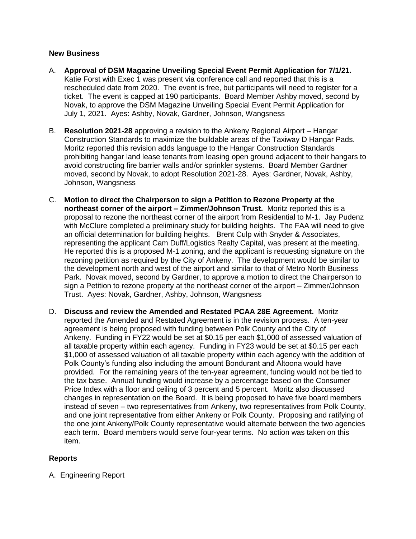#### **New Business**

- A. **Approval of DSM Magazine Unveiling Special Event Permit Application for 7/1/21.** Katie Forst with Exec 1 was present via conference call and reported that this is a rescheduled date from 2020. The event is free, but participants will need to register for a ticket. The event is capped at 190 participants. Board Member Ashby moved, second by Novak, to approve the DSM Magazine Unveiling Special Event Permit Application for July 1, 2021. Ayes: Ashby, Novak, Gardner, Johnson, Wangsness
- B. **Resolution 2021-28** approving a revision to the Ankeny Regional Airport Hangar Construction Standards to maximize the buildable areas of the Taxiway D Hangar Pads. Moritz reported this revision adds language to the Hangar Construction Standards prohibiting hangar land lease tenants from leasing open ground adjacent to their hangars to avoid constructing fire barrier walls and/or sprinkler systems. Board Member Gardner moved, second by Novak, to adopt Resolution 2021-28. Ayes: Gardner, Novak, Ashby, Johnson, Wangsness
- C. **Motion to direct the Chairperson to sign a Petition to Rezone Property at the northeast corner of the airport – Zimmer/Johnson Trust.** Moritz reported this is a proposal to rezone the northeast corner of the airport from Residential to M-1. Jay Pudenz with McClure completed a preliminary study for building heights. The FAA will need to give an official determination for building heights. Brent Culp with Snyder & Associates, representing the applicant Cam Duff/Logistics Realty Capital, was present at the meeting. He reported this is a proposed M-1 zoning, and the applicant is requesting signature on the rezoning petition as required by the City of Ankeny. The development would be similar to the development north and west of the airport and similar to that of Metro North Business Park. Novak moved, second by Gardner, to approve a motion to direct the Chairperson to sign a Petition to rezone property at the northeast corner of the airport – Zimmer/Johnson Trust. Ayes: Novak, Gardner, Ashby, Johnson, Wangsness
- D. **Discuss and review the Amended and Restated PCAA 28E Agreement.** Moritz reported the Amended and Restated Agreement is in the revision process. A ten-year agreement is being proposed with funding between Polk County and the City of Ankeny. Funding in FY22 would be set at \$0.15 per each \$1,000 of assessed valuation of all taxable property within each agency. Funding in FY23 would be set at \$0.15 per each \$1,000 of assessed valuation of all taxable property within each agency with the addition of Polk County's funding also including the amount Bondurant and Altoona would have provided. For the remaining years of the ten-year agreement, funding would not be tied to the tax base. Annual funding would increase by a percentage based on the Consumer Price Index with a floor and ceiling of 3 percent and 5 percent. Moritz also discussed changes in representation on the Board. It is being proposed to have five board members instead of seven – two representatives from Ankeny, two representatives from Polk County, and one joint representative from either Ankeny or Polk County. Proposing and ratifying of the one joint Ankeny/Polk County representative would alternate between the two agencies each term. Board members would serve four-year terms. No action was taken on this item.

#### **Reports**

A. Engineering Report